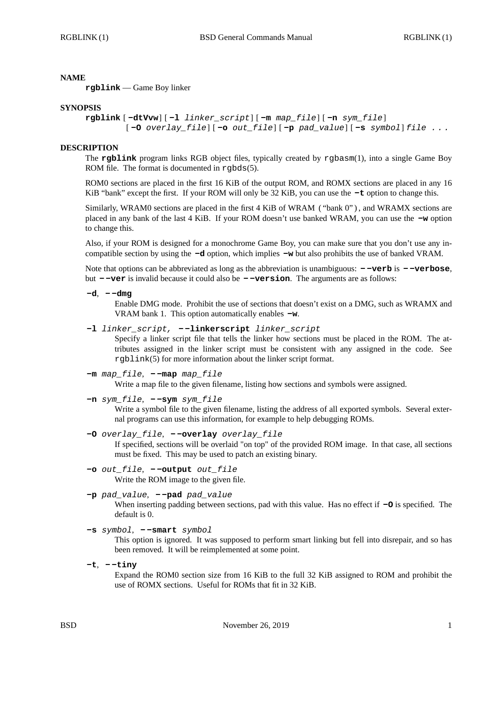## **NAME**

**rgblink** — Game Boy linker

#### **SYNOPSIS**

```
rgblink [ -dtVvw] [ -l linker_script] [ -m map_file] [ -n sym_file]
[ -O overlay_file] [ -o out_file] [ -p pad_value] [ -s symbol] file . . .
```
### **DESCRIPTION**

The **rgblink** program links RGB object files, typically created by rgbasm(1), into a single Game Boy ROM file. The format is documented in rgbds(5).

ROM0 sections are placed in the first 16 KiB of the output ROM, and ROMX sections are placed in any 16 KiB "bank" except the first. If your ROM will only be 32 KiB, you can use the **-t** option to change this.

Similarly, WRAM0 sections are placed in the first 4 KiB of WRAM ("bank 0"), and WRAMX sections are placed in any bank of the last 4 KiB. If your ROM doesn't use banked WRAM, you can use the **-w** option to change this.

Also, if your ROM is designed for a monochrome Game Boy, you can make sure that you don't use any incompatible section by using the **-d** option, which implies **-w** but also prohibits the use of banked VRAM.

Note that options can be abbreviated as long as the abbreviation is unambiguous: **- -verb** is **- -verbose**, but **- -ver** is invalid because it could also be **- -version**. The arguments are as follows:

**-d**, **- -dmg**

Enable DMG mode. Prohibit the use of sections that doesn't exist on a DMG, such as WRAMX and VRAM bank 1. This option automatically enables **-w**.

**-l** *linker\_script,* **- -linkerscript** *linker\_script*

Specify a linker script file that tells the linker how sections must be placed in the ROM. The attributes assigned in the linker script must be consistent with any assigned in the code. See rgblink(5) for more information about the linker script format.

- **-m** *map\_file*,  **-map** *map\_file* Write a map file to the given filename, listing how sections and symbols were assigned.
- **-n** *sym\_file*,  **-sym** *sym\_file*

Write a symbol file to the given filename, listing the address of all exported symbols. Several external programs can use this information, for example to help debugging ROMs.

## **-O** *overlay\_file*, **- -overlay** *overlay\_file*

If specified, sections will be overlaid "on top" of the provided ROM image. In that case, all sections must be fixed. This may be used to patch an existing binary.

**-o** *out\_file*, **- -output** *out\_file* Write the ROM image to the given file.

# **-p** *pad\_value*, **- -pad** *pad\_value*

When inserting padding between sections, pad with this value. Has no effect if **-O** is specified. The default is 0.

```
-s symbol, - -smart symbol
```
This option is ignored. It was supposed to perform smart linking but fell into disrepair, and so has been removed. It will be reimplemented at some point.

**-t**, **- -tiny**

Expand the ROM0 section size from 16 KiB to the full 32 KiB assigned to ROM and prohibit the use of ROMX sections. Useful for ROMs that fit in 32 KiB.